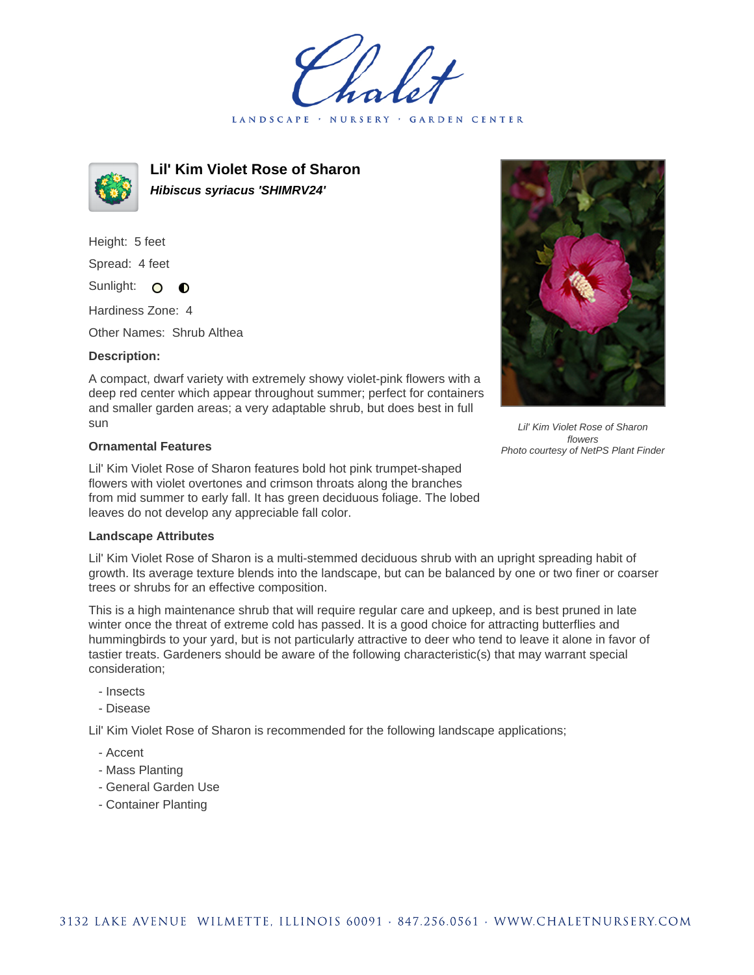LANDSCAPE · **GARDEN CENTER** 



**Lil' Kim Violet Rose of Sharon Hibiscus syriacus 'SHIMRV24'**

Height: 5 feet Spread: 4 feet

Sunlight: O  $\bullet$ 

Hardiness Zone: 4

Other Names: Shrub Althea

## **Description:**

A compact, dwarf variety with extremely showy violet-pink flowers with a deep red center which appear throughout summer; perfect for containers and smaller garden areas; a very adaptable shrub, but does best in full sun

## **Ornamental Features**

Lil' Kim Violet Rose of Sharon features bold hot pink trumpet-shaped flowers with violet overtones and crimson throats along the branches from mid summer to early fall. It has green deciduous foliage. The lobed leaves do not develop any appreciable fall color.

## **Landscape Attributes**

Lil' Kim Violet Rose of Sharon is a multi-stemmed deciduous shrub with an upright spreading habit of growth. Its average texture blends into the landscape, but can be balanced by one or two finer or coarser trees or shrubs for an effective composition.

This is a high maintenance shrub that will require regular care and upkeep, and is best pruned in late winter once the threat of extreme cold has passed. It is a good choice for attracting butterflies and hummingbirds to your yard, but is not particularly attractive to deer who tend to leave it alone in favor of tastier treats. Gardeners should be aware of the following characteristic(s) that may warrant special consideration;

- Insects
- Disease

Lil' Kim Violet Rose of Sharon is recommended for the following landscape applications;

- Accent
- Mass Planting
- General Garden Use
- Container Planting



Lil' Kim Violet Rose of Sharon flowers Photo courtesy of NetPS Plant Finder